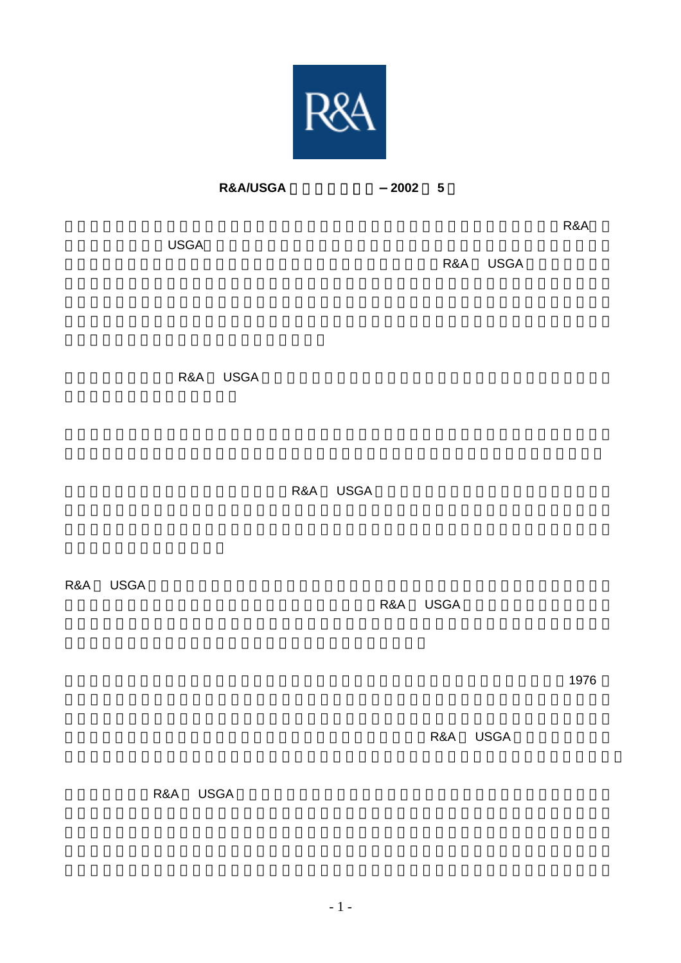

<u>በተለያዩ የተመለከተው የተመለከተው የአንድ አስተዳደር የተመለከተው የአንድ አስተዳደር የተመለከተው የአንድ አስተዳደር የተመለከተው የአንድ አስተዳደር የተመለከተው የአንድ አስተ</u>

**R&A/USGA** 原則の共同声明-**2002** 年 **5** 月

 $\overline{\text{USGA}}$ 

R&A USGA

R&A USGA

R&A USGA

R&A USGA

R&A USGA

 $\,$  1976  $\,$ 

R&A USGA

R&A USGA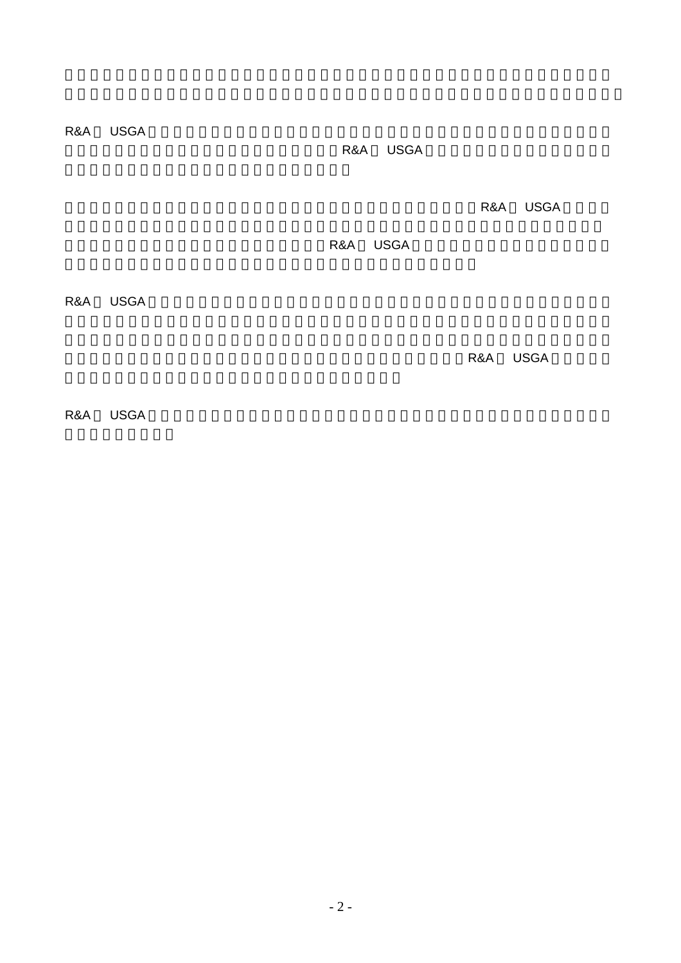R&A USGA

R&A USGA

R&A USGA

R&A USGA

R&A USGA

R&A USGA

R&A USGA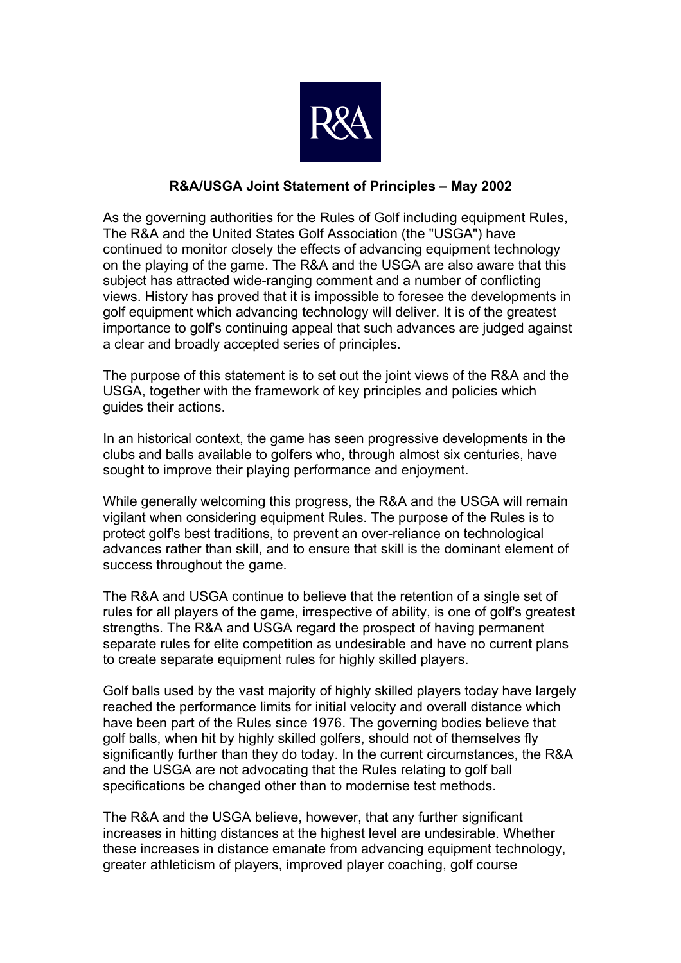

## **R&A/USGA Joint Statement of Principles – May 2002**

As the governing authorities for the Rules of Golf including equipment Rules, The R&A and the United States Golf Association (the "USGA") have continued to monitor closely the effects of advancing equipment technology on the playing of the game. The R&A and the USGA are also aware that this subject has attracted wide-ranging comment and a number of conflicting views. History has proved that it is impossible to foresee the developments in golf equipment which advancing technology will deliver. It is of the greatest importance to golf's continuing appeal that such advances are judged against a clear and broadly accepted series of principles.

The purpose of this statement is to set out the joint views of the R&A and the USGA, together with the framework of key principles and policies which guides their actions.

In an historical context, the game has seen progressive developments in the clubs and balls available to golfers who, through almost six centuries, have sought to improve their playing performance and enjoyment.

While generally welcoming this progress, the R&A and the USGA will remain vigilant when considering equipment Rules. The purpose of the Rules is to protect golf's best traditions, to prevent an over-reliance on technological advances rather than skill, and to ensure that skill is the dominant element of success throughout the game.

The R&A and USGA continue to believe that the retention of a single set of rules for all players of the game, irrespective of ability, is one of golf's greatest strengths. The R&A and USGA regard the prospect of having permanent separate rules for elite competition as undesirable and have no current plans to create separate equipment rules for highly skilled players.

Golf balls used by the vast majority of highly skilled players today have largely reached the performance limits for initial velocity and overall distance which have been part of the Rules since 1976. The governing bodies believe that golf balls, when hit by highly skilled golfers, should not of themselves fly significantly further than they do today. In the current circumstances, the R&A and the USGA are not advocating that the Rules relating to golf ball specifications be changed other than to modernise test methods.

The R&A and the USGA believe, however, that any further significant increases in hitting distances at the highest level are undesirable. Whether these increases in distance emanate from advancing equipment technology, greater athleticism of players, improved player coaching, golf course